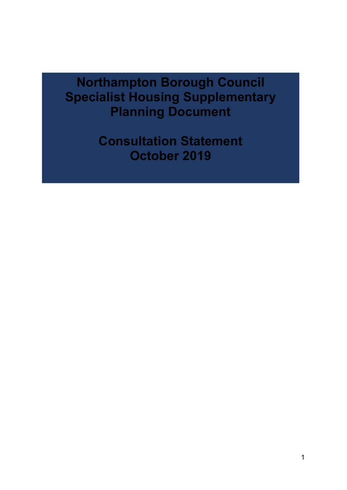**Northampton Borough Council Specialist Housing Supplementary Planning Document**

> **Consultation Statement October 2019**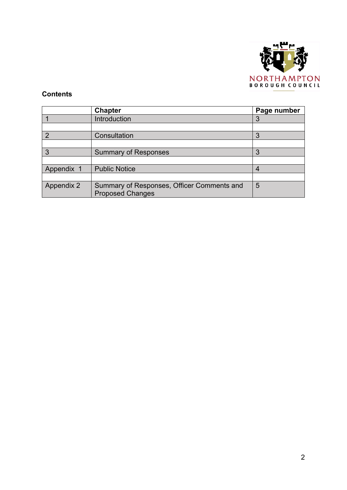

## **Contents**

|                | Chapter                                                               | Page number |
|----------------|-----------------------------------------------------------------------|-------------|
|                | Introduction                                                          | 3           |
|                |                                                                       |             |
| $\overline{2}$ | Consultation                                                          | 3           |
|                |                                                                       |             |
| $\overline{3}$ | <b>Summary of Responses</b>                                           | 3           |
|                |                                                                       |             |
| Appendix 1     | <b>Public Notice</b>                                                  |             |
|                |                                                                       |             |
| Appendix 2     | Summary of Responses, Officer Comments and<br><b>Proposed Changes</b> | 5           |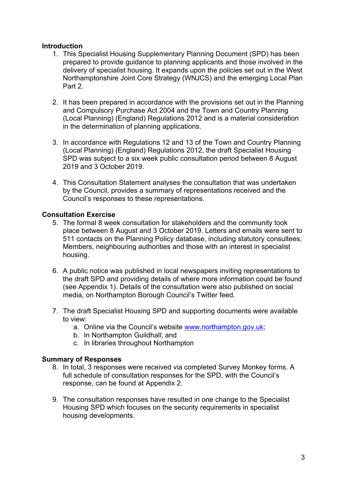### **Introduction**

- 1. This Specialist Housing Supplementary Planning Document (SPD) has been prepared to provide guidance to planning applicants and those involved in the delivery of specialist housing. It expands upon the policies set out in the West Northamptonshire Joint Core Strategy (WNJCS) and the emerging Local Plan Part 2.
- 2. It has been prepared in accordance with the provisions set out in the Planning and Compulsory Purchase Act 2004 and the Town and Country Planning (Local Planning) (England) Regulations 2012 and is a material consideration in the determination of planning applications.
- 3. In accordance with Regulations 12 and 13 of the Town and Country Planning (Local Planning) (England) Regulations 2012, the draft Specialist Housing SPD was subject to a six week public consultation period between 8 August 2019 and 3 October 2019.
- 4. This Consultation Statement analyses the consultation that was undertaken by the Council, provides a summary of representations received and the Council's responses to these representations.

#### **Consultation Exercise**

- 5. The formal 8 week consultation for stakeholders and the community took place between 8 August and 3 October 2019. Letters and emails were sent to 511 contacts on the Planning Policy database, including statutory consultees, Members, neighbouring authorities and those with an interest in specialist housing.
- 6. A public notice was published in local newspapers inviting representations to the draft SPD and providing details of where more information could be found (see Appendix 1). Details of the consultation were also published on social media, on Northampton Borough Council's Twitter feed.
- 7. The draft Specialist Housing SPD and supporting documents were available to view:
	- a. Online via the Council's website [www.northampton.gov.uk](http://www.northampton.gov.uk/);
	- b. In Northampton Guildhall; and
	- c. In libraries throughout Northampton

#### **Summary of Responses**

- 8. In total, 3 responses were received via completed Survey Monkey forms. A full schedule of consultation responses for the SPD, with the Council's response, can be found at Appendix 2.
- 9. The consultation responses have resulted in one change to the Specialist Housing SPD which focuses on the security requirements in specialist housing developments.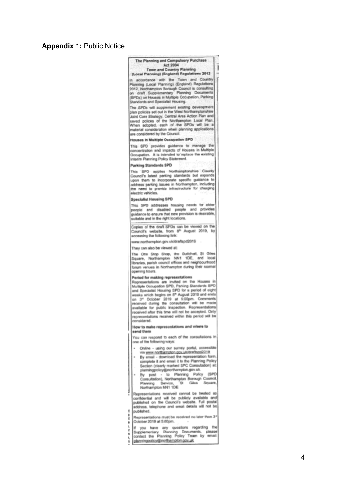# **Appendix 1:** Public Notice

|                              | The Planning and Compulsory Purchase                                                                                                                                                                                                                                                                                                                                                                                                                                                                                                           |  |
|------------------------------|------------------------------------------------------------------------------------------------------------------------------------------------------------------------------------------------------------------------------------------------------------------------------------------------------------------------------------------------------------------------------------------------------------------------------------------------------------------------------------------------------------------------------------------------|--|
|                              | Act 2004<br>Town and Country Planning                                                                                                                                                                                                                                                                                                                                                                                                                                                                                                          |  |
|                              | (Local Planning) (England) Regulations 2012                                                                                                                                                                                                                                                                                                                                                                                                                                                                                                    |  |
|                              | In accordance with the Town and Country<br>Planning (Local Planning) (England) Regulations<br>2012, Northampton Borough Council is consulting<br>on draft Supplementary Planning Documents<br>(SPDs) on Houses in Multiple Occupation, Parking<br>Standards and Specialist Housing.                                                                                                                                                                                                                                                            |  |
|                              | The SPDs will supplement existing development<br>plan policies set out in the West Northamptonshire<br>Joint Core Strategy, Central Area Action Plan and<br>saved polices of the Northampton Local Plan.<br>When adopted, each of the SPDs will be a<br>material consideration when planning applications<br>are considered by the Council.                                                                                                                                                                                                    |  |
|                              | <b>Houses in Multiple Occupation SPD</b>                                                                                                                                                                                                                                                                                                                                                                                                                                                                                                       |  |
|                              | This SPD provides guidance to manage the<br>concentration and impacts of Houses in Multiple<br>Occupation. It is intended to replace the existing<br>Interim Planning Policy Statement.                                                                                                                                                                                                                                                                                                                                                        |  |
|                              | Parking Standards SPD                                                                                                                                                                                                                                                                                                                                                                                                                                                                                                                          |  |
|                              | This SPD applies Northamptonshire County<br>Council's latest parking standards but expands<br>upon them to incorporate specific guidance to<br>address parking issues in Northampton, including<br>the need to provide infrastructure for charging<br>electric vehicles.                                                                                                                                                                                                                                                                       |  |
|                              | <b>Specialist Housing SPD</b>                                                                                                                                                                                                                                                                                                                                                                                                                                                                                                                  |  |
|                              | This SPD addresses housing needs for older<br>paople and disabled people and provides<br>guidance to ensure that new provision is desirable,<br>suitable and in the right locations.                                                                                                                                                                                                                                                                                                                                                           |  |
|                              | Copies of the draft SPDs can be viewed on the<br>Council's website, from 8 <sup>th</sup> August 2019, by<br>accessing the following link:                                                                                                                                                                                                                                                                                                                                                                                                      |  |
|                              | erww.northampton.gov.uk/draftspd2019                                                                                                                                                                                                                                                                                                                                                                                                                                                                                                           |  |
|                              | They can also be viewed at:                                                                                                                                                                                                                                                                                                                                                                                                                                                                                                                    |  |
|                              | The One Stop Shop, the Guildhall, St Giles<br>Square, Northampton NN1 1DE, and local<br>Ibraries, parish council offices and neighbourhood<br>forum veriues in Northampton during their normal<br>opening hours.                                                                                                                                                                                                                                                                                                                               |  |
|                              | Period for making representations<br>Representations are invited on the Houses in<br>Multiple Occupation SPD, Parking Standards SPD<br>and Specialist Housing SPD for a period of eight<br>weeks which begins on 8 <sup>n</sup> August 2019 and ends.<br>on 3 <sup>e</sup> October 2019 at 5:00pm. Comments<br>received during the consultation will be made<br>available for public inspection. Representations<br>received after this time will not be accepted. Only<br>recressratations received within this period will be<br>considered. |  |
|                              | How to make representations and where to                                                                                                                                                                                                                                                                                                                                                                                                                                                                                                       |  |
|                              | send them<br>You can respond to each of the consultations in<br>one of the following ways:                                                                                                                                                                                                                                                                                                                                                                                                                                                     |  |
|                              | Online - using our survey portal, accessible<br>٠<br>via www.northampton.gov.uk/draftspd2019<br>By email - download the representation form,<br>complete it and email it to the Planning Policy<br>Section (clearly marked SPC Consultation) at:<br>planningpolicy@northampton.gov.uk.<br>- to Planning Policy (SPD)<br>By post<br>$\frac{1}{2}$<br>Consultation), Northampton Borough Council,<br>Planning Service, 'St Giles Square,<br>Northampton NN1 1DE                                                                                  |  |
| s                            | Representations received cannot be treated as<br>confidential and will be publicly available and<br>published on the Council's website. Full postal<br>address, telephone and email details will not be<br>published.                                                                                                                                                                                                                                                                                                                          |  |
| ۵<br>st<br>٠                 | Representations must be received no later than 3 <sup>e</sup><br>October 2019 at 5:00pm.                                                                                                                                                                                                                                                                                                                                                                                                                                                       |  |
| ١.<br>Ħ<br>m<br>۱.<br>n<br>m | If you have any questions regarding the<br>Supplementary Planning Documents, please<br>contact the Planning Policy Team by email:<br>planningpolicy@northampton.gov.uk                                                                                                                                                                                                                                                                                                                                                                         |  |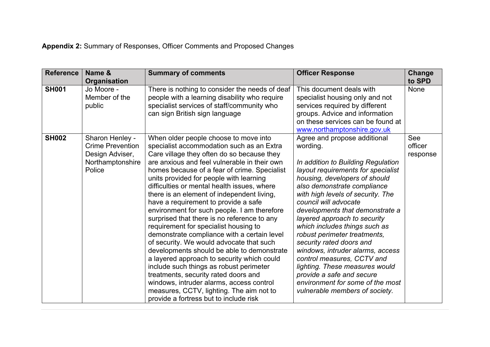**Appendix 2:** Summary of Responses, Officer Comments and Proposed Changes

| <b>Reference</b> | Name &<br><b>Organisation</b>                                                               | <b>Summary of comments</b>                                                                                                                                                                                                                                                                                                                                                                                                                                                                                                                                                                                                                                                                                                                                                                                                                                                                                                                                          | <b>Officer Response</b>                                                                                                                                                                                                                                                                                                                                                                                                                                                                                                                                                                                                   | Change<br>to SPD           |
|------------------|---------------------------------------------------------------------------------------------|---------------------------------------------------------------------------------------------------------------------------------------------------------------------------------------------------------------------------------------------------------------------------------------------------------------------------------------------------------------------------------------------------------------------------------------------------------------------------------------------------------------------------------------------------------------------------------------------------------------------------------------------------------------------------------------------------------------------------------------------------------------------------------------------------------------------------------------------------------------------------------------------------------------------------------------------------------------------|---------------------------------------------------------------------------------------------------------------------------------------------------------------------------------------------------------------------------------------------------------------------------------------------------------------------------------------------------------------------------------------------------------------------------------------------------------------------------------------------------------------------------------------------------------------------------------------------------------------------------|----------------------------|
| <b>SH001</b>     | Jo Moore -<br>Member of the<br>public                                                       | There is nothing to consider the needs of deaf<br>people with a learning disability who require<br>specialist services of staff/community who<br>can sign British sign language                                                                                                                                                                                                                                                                                                                                                                                                                                                                                                                                                                                                                                                                                                                                                                                     | This document deals with<br>specialist housing only and not<br>services required by different<br>groups. Advice and information<br>on these services can be found at<br>www.northamptonshire.gov.uk                                                                                                                                                                                                                                                                                                                                                                                                                       | <b>None</b>                |
| <b>SH002</b>     | Sharon Henley -<br><b>Crime Prevention</b><br>Design Adviser,<br>Northamptonshire<br>Police | When older people choose to move into<br>specialist accommodation such as an Extra<br>Care village they often do so because they<br>are anxious and feel vulnerable in their own<br>homes because of a fear of crime. Specialist<br>units provided for people with learning<br>difficulties or mental health issues, where<br>there is an element of independent living,<br>have a requirement to provide a safe<br>environment for such people. I am therefore<br>surprised that there is no reference to any<br>requirement for specialist housing to<br>demonstrate compliance with a certain level<br>of security. We would advocate that such<br>developments should be able to demonstrate<br>a layered approach to security which could<br>include such things as robust perimeter<br>treatments, security rated doors and<br>windows, intruder alarms, access control<br>measures, CCTV, lighting. The aim not to<br>provide a fortress but to include risk | Agree and propose additional<br>wording.<br>In addition to Building Regulation<br>layout requirements for specialist<br>housing, developers of should<br>also demonstrate compliance<br>with high levels of security. The<br>council will advocate<br>developments that demonstrate a<br>layered approach to security<br>which includes things such as<br>robust perimeter treatments,<br>security rated doors and<br>windows, intruder alarms, access<br>control measures, CCTV and<br>lighting. These measures would<br>provide a safe and secure<br>environment for some of the most<br>vulnerable members of society. | See<br>officer<br>response |